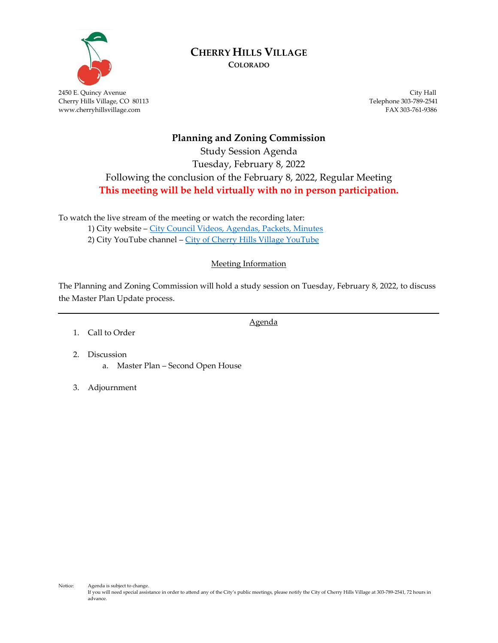

# **CHERRY HILLS VILLAGE**

**COLORADO**

2450 E. Quincy Avenue City Hall Cherry Hills Village, CO 80113 Telephone 303-789-2541 www.cherryhillsvillage.com

## **Planning and Zoning Commission** Study Session Agenda Tuesday, February 8, 2022 Following the conclusion of the February 8, 2022, Regular Meeting **This meeting will be held virtually with no in person participation.**

To watch the live stream of the meeting or watch the recording later:

1) City website – [City Council Videos, Agendas, Packets, Minutes](http://www.cherryhillsvillage.com/501/Council-Videos-Agendas-Packets-Minutes) 2) City YouTube channel - [City of Cherry Hills Village YouTube](https://www.youtube.com/channel/UCHY4MgJ1gekrqDW949gW7Gw)

### Meeting Information

The Planning and Zoning Commission will hold a study session on Tuesday, February 8, 2022, to discuss the Master Plan Update process.

Agenda

- 1. Call to Order
- 2. Discussion a. Master Plan – Second Open House
- 3. Adjournment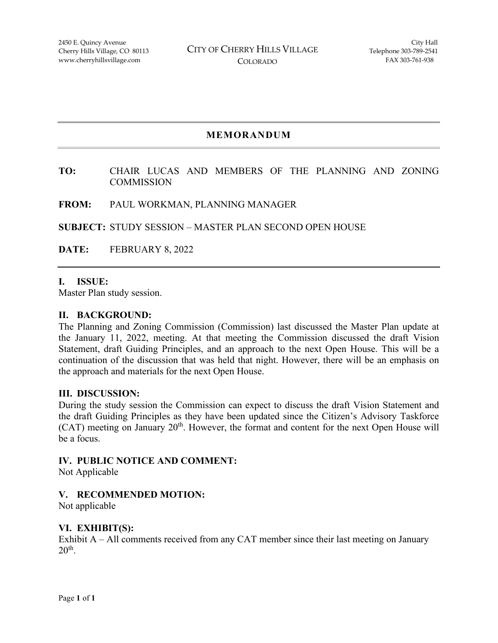## **MEMORANDUM**

#### **TO:** CHAIR LUCAS AND MEMBERS OF THE PLANNING AND ZONING **COMMISSION**

#### **FROM:** PAUL WORKMAN, PLANNING MANAGER

**SUBJECT:** STUDY SESSION – MASTER PLAN SECOND OPEN HOUSE

**DATE:** FEBRUARY 8, 2022

#### **I. ISSUE:**

Master Plan study session.

#### **II. BACKGROUND:**

The Planning and Zoning Commission (Commission) last discussed the Master Plan update at the January 11, 2022, meeting. At that meeting the Commission discussed the draft Vision Statement, draft Guiding Principles, and an approach to the next Open House. This will be a continuation of the discussion that was held that night. However, there will be an emphasis on the approach and materials for the next Open House.

#### **III. DISCUSSION:**

During the study session the Commission can expect to discuss the draft Vision Statement and the draft Guiding Principles as they have been updated since the Citizen's Advisory Taskforce (CAT) meeting on January 20<sup>th</sup>. However, the format and content for the next Open House will be a focus.

#### **IV. PUBLIC NOTICE AND COMMENT:**

Not Applicable

#### **V. RECOMMENDED MOTION:**

Not applicable

#### **VI. EXHIBIT(S):**

Exhibit A – All comments received from any CAT member since their last meeting on January  $20<sup>th</sup>$ .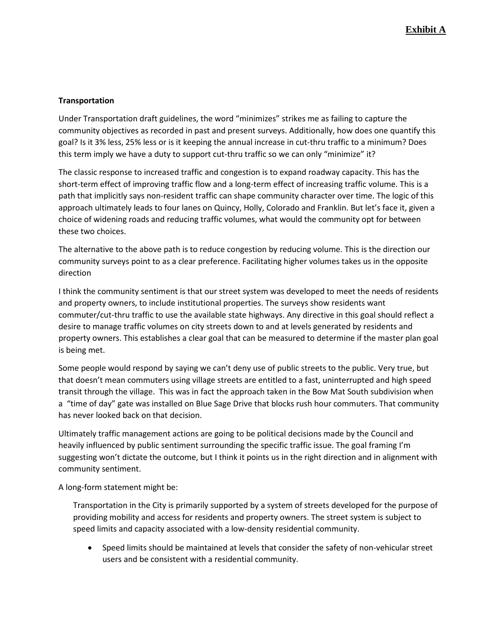#### **Transportation**

Under Transportation draft guidelines, the word "minimizes" strikes me as failing to capture the community objectives as recorded in past and present surveys. Additionally, how does one quantify this goal? Is it 3% less, 25% less or is it keeping the annual increase in cut-thru traffic to a minimum? Does this term imply we have a duty to support cut-thru traffic so we can only "minimize" it?

The classic response to increased traffic and congestion is to expand roadway capacity. This has the short-term effect of improving traffic flow and a long-term effect of increasing traffic volume. This is a path that implicitly says non-resident traffic can shape community character over time. The logic of this approach ultimately leads to four lanes on Quincy, Holly, Colorado and Franklin. But let's face it, given a choice of widening roads and reducing traffic volumes, what would the community opt for between these two choices.

The alternative to the above path is to reduce congestion by reducing volume. This is the direction our community surveys point to as a clear preference. Facilitating higher volumes takes us in the opposite direction

I think the community sentiment is that our street system was developed to meet the needs of residents and property owners, to include institutional properties. The surveys show residents want commuter/cut-thru traffic to use the available state highways. Any directive in this goal should reflect a desire to manage traffic volumes on city streets down to and at levels generated by residents and property owners. This establishes a clear goal that can be measured to determine if the master plan goal is being met.

Some people would respond by saying we can't deny use of public streets to the public. Very true, but that doesn't mean commuters using village streets are entitled to a fast, uninterrupted and high speed transit through the village. This was in fact the approach taken in the Bow Mat South subdivision when a "time of day" gate was installed on Blue Sage Drive that blocks rush hour commuters. That community has never looked back on that decision.

Ultimately traffic management actions are going to be political decisions made by the Council and heavily influenced by public sentiment surrounding the specific traffic issue. The goal framing I'm suggesting won't dictate the outcome, but I think it points us in the right direction and in alignment with community sentiment.

A long-form statement might be:

Transportation in the City is primarily supported by a system of streets developed for the purpose of providing mobility and access for residents and property owners. The street system is subject to speed limits and capacity associated with a low-density residential community.

• Speed limits should be maintained at levels that consider the safety of non-vehicular street users and be consistent with a residential community.